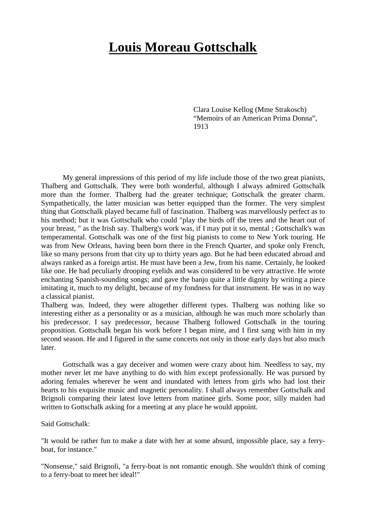## **Louis Moreau Gottschalk**

Clara Louise Kellog (Mme Strakosch) "Memoirs of an American Prima Donna", 1913

My general impressions of this period of my life include those of the two great pianists, Thalberg and Gottschalk. They were both wonderful, although I always admired Gottschalk more than the former. Thalberg had the greater technique; Gottschalk the greater charm. Sympathetically, the latter musician was better equipped than the former. The very simplest thing that Gottschalk played became full of fascination. Thalberg was marvellously perfect as to his method; but it was Gottschalk who could "play the birds off the trees and the heart out of your breast, " as the Irish say. Thalberg's work was, if I may put it so, mental ; Gottschalk's was temperamental. Gottschalk was one of the first big pianists to come to New York touring. He was from New Orleans, having been born there in the French Quarter, and spoke only French, like so many persons from that city up to thirty years ago. But he had been educated abroad and always ranked as a foreign artist. He must have been a Jew, from his name. Certainly, he looked like one. He had peculiarly drooping eyelids and was considered to be very attractive. He wrote enchanting Spanish-sounding songs; and gave the banjo quite a little dignity by writing a piece imitating it, much to my delight, because of my fondness for that instrument. He was in no way a classical pianist.

Thalberg was. Indeed, they were altogether different types. Thalberg was nothing like so interesting either as a personality or as a musician, although he was much more scholarly than his predecessor. I say predecessor, because Thalberg followed Gottschalk in the touring proposition. Gottschalk began his work before I began mine, and I first sang with him in my second season. He and I figured in the same concerts not only in those early days but also much later.

Gottschalk was a gay deceiver and women were crazy about him. Needless to say, my mother never let me have anything to do with him except professionally. He was pursued by adoring females wherever he went and inundated with letters from girls who had lost their hearts to his exquisite music and magnetic personality. I shall always remember Gottschalk and Brignoli comparing their latest love letters from matinee girls. Some poor, silly maiden had written to Gottschalk asking for a meeting at any place he would appoint.

## Said Gottschalk:

"It would be rather fun to make a date with her at some absurd, impossible place, say a ferryboat, for instance."

"Nonsense," said Brignoli, "a ferry-boat is not romantic enough. She wouldn't think of coming to a ferry-boat to meet her ideal!"